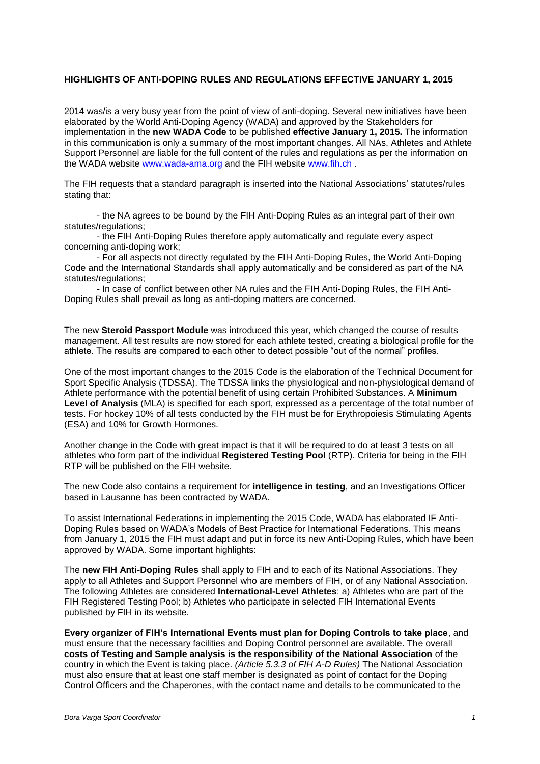## **HIGHLIGHTS OF ANTI-DOPING RULES AND REGULATIONS EFFECTIVE JANUARY 1, 2015**

2014 was/is a very busy year from the point of view of anti-doping. Several new initiatives have been elaborated by the World Anti-Doping Agency (WADA) and approved by the Stakeholders for implementation in the **new WADA Code** to be published **effective January 1, 2015.** The information in this communication is only a summary of the most important changes. All NAs, Athletes and Athlete Support Personnel are liable for the full content of the rules and regulations as per the information on the WADA website [www.wada-ama.org](http://www.wada-ama.org/) and the FIH website [www.fih.ch](http://www.fih.ch/) .

The FIH requests that a standard paragraph is inserted into the National Associations' statutes/rules stating that:

- the NA agrees to be bound by the FIH Anti-Doping Rules as an integral part of their own statutes/regulations:

- the FIH Anti-Doping Rules therefore apply automatically and regulate every aspect concerning anti-doping work;

- For all aspects not directly regulated by the FIH Anti-Doping Rules, the World Anti-Doping Code and the International Standards shall apply automatically and be considered as part of the NA statutes/regulations:

- In case of conflict between other NA rules and the FIH Anti-Doping Rules, the FIH Anti-Doping Rules shall prevail as long as anti-doping matters are concerned.

The new **Steroid Passport Module** was introduced this year, which changed the course of results management. All test results are now stored for each athlete tested, creating a biological profile for the athlete. The results are compared to each other to detect possible "out of the normal" profiles.

One of the most important changes to the 2015 Code is the elaboration of the Technical Document for Sport Specific Analysis (TDSSA). The TDSSA links the physiological and non-physiological demand of Athlete performance with the potential benefit of using certain Prohibited Substances. A **Minimum Level of Analysis** (MLA) is specified for each sport, expressed as a percentage of the total number of tests. For hockey 10% of all tests conducted by the FIH must be for Erythropoiesis Stimulating Agents (ESA) and 10% for Growth Hormones.

Another change in the Code with great impact is that it will be required to do at least 3 tests on all athletes who form part of the individual **Registered Testing Pool** (RTP). Criteria for being in the FIH RTP will be published on the FIH website.

The new Code also contains a requirement for **intelligence in testing**, and an Investigations Officer based in Lausanne has been contracted by WADA.

To assist International Federations in implementing the 2015 Code, WADA has elaborated IF Anti-Doping Rules based on WADA's Models of Best Practice for International Federations. This means from January 1, 2015 the FIH must adapt and put in force its new Anti-Doping Rules, which have been approved by WADA. Some important highlights:

The **new FIH Anti-Doping Rules** shall apply to FIH and to each of its National Associations. They apply to all Athletes and Support Personnel who are members of FIH, or of any National Association. The following Athletes are considered **International-Level Athletes**: a) Athletes who are part of the FIH Registered Testing Pool; b) Athletes who participate in selected FIH International Events published by FIH in its website.

**Every organizer of FIH's International Events must plan for Doping Controls to take place**, and must ensure that the necessary facilities and Doping Control personnel are available. The overall **costs of Testing and Sample analysis is the responsibility of the National Association** of the country in which the Event is taking place. *(Article 5.3.3 of FIH A-D Rules)* The National Association must also ensure that at least one staff member is designated as point of contact for the Doping Control Officers and the Chaperones, with the contact name and details to be communicated to the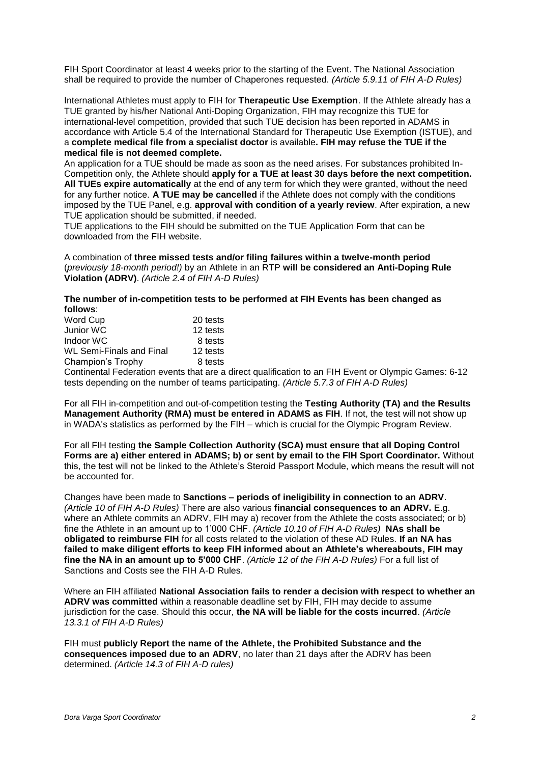FIH Sport Coordinator at least 4 weeks prior to the starting of the Event. The National Association shall be required to provide the number of Chaperones requested. *(Article 5.9.11 of FIH A-D Rules)*

International Athletes must apply to FIH for **Therapeutic Use Exemption**. If the Athlete already has a TUE granted by his/her National Anti-Doping Organization, FIH may recognize this TUE for international-level competition, provided that such TUE decision has been reported in ADAMS in accordance with Article 5.4 of the International Standard for Therapeutic Use Exemption (ISTUE), and a **complete medical file from a specialist doctor** is available**. FIH may refuse the TUE if the medical file is not deemed complete.**

An application for a TUE should be made as soon as the need arises. For substances prohibited In-Competition only, the Athlete should **apply for a TUE at least 30 days before the next competition. All TUEs expire automatically** at the end of any term for which they were granted, without the need for any further notice. **A TUE may be cancelled** if the Athlete does not comply with the conditions imposed by the TUE Panel, e.g. **approval with condition of a yearly review**. After expiration, a new TUE application should be submitted, if needed.

TUE applications to the FIH should be submitted on the TUE Application Form that can be downloaded from the FIH website.

A combination of **three missed tests and/or filing failures within a twelve-month period** (*previously 18-month period!)* by an Athlete in an RTP **will be considered an Anti-Doping Rule Violation (ADRV)**. *(Article 2.4 of FIH A-D Rules)*

### **The number of in-competition tests to be performed at FIH Events has been changed as follows**:

| Word Cup                                 | 20 tests |
|------------------------------------------|----------|
| Junior WC                                | 12 tests |
| Indoor WC                                | 8 tests  |
| <b>WL Semi-Finals and Final</b>          | 12 tests |
| Champion's Trophy                        | 8 tests  |
| Continental Federation events that are a |          |

a direct qualification to an FIH Event or Olympic Games: 6-12 tests depending on the number of teams participating. *(Article 5.7.3 of FIH A-D Rules)*

For all FIH in-competition and out-of-competition testing the **Testing Authority (TA) and the Results Management Authority (RMA) must be entered in ADAMS as FIH**. If not, the test will not show up in WADA's statistics as performed by the FIH – which is crucial for the Olympic Program Review.

For all FIH testing **the Sample Collection Authority (SCA) must ensure that all Doping Control Forms are a) either entered in ADAMS; b) or sent by email to the FIH Sport Coordinator.** Without this, the test will not be linked to the Athlete's Steroid Passport Module, which means the result will not be accounted for.

Changes have been made to **Sanctions – periods of ineligibility in connection to an ADRV**. *(Article 10 of FIH A-D Rules)* There are also various **financial consequences to an ADRV.** E.g. where an Athlete commits an ADRV, FIH may a) recover from the Athlete the costs associated; or b) fine the Athlete in an amount up to 1'000 CHF. *(Article 10.10 of FIH A-D Rules)* **NAs shall be obligated to reimburse FIH** for all costs related to the violation of these AD Rules. **If an NA has failed to make diligent efforts to keep FIH informed about an Athlete's whereabouts, FIH may fine the NA in an amount up to 5'000 CHF**. *(Article 12 of the FIH A-D Rules)* For a full list of Sanctions and Costs see the FIH A-D Rules.

Where an FIH affiliated **National Association fails to render a decision with respect to whether an ADRV was committed** within a reasonable deadline set by FIH, FIH may decide to assume jurisdiction for the case. Should this occur, **the NA will be liable for the costs incurred**. *(Article 13.3.1 of FIH A-D Rules)*

FIH must **publicly Report the name of the Athlete, the Prohibited Substance and the consequences imposed due to an ADRV**, no later than 21 days after the ADRV has been determined. *(Article 14.3 of FIH A-D rules)*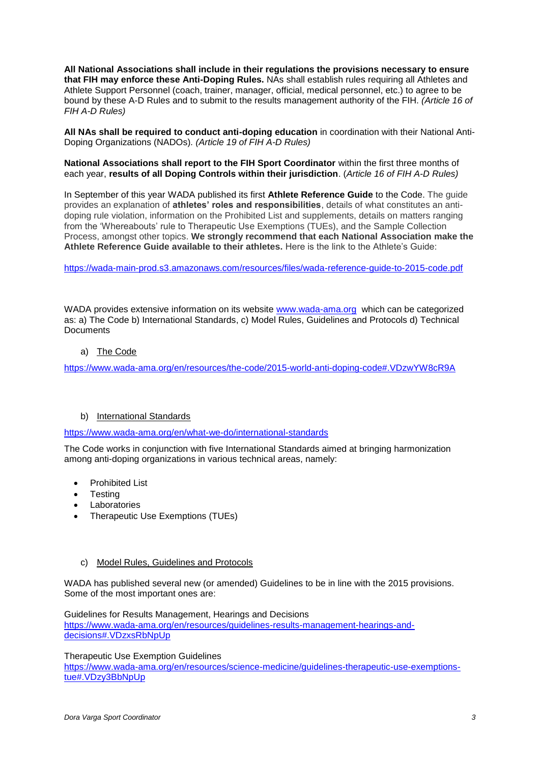**All National Associations shall include in their regulations the provisions necessary to ensure that FIH may enforce these Anti-Doping Rules.** NAs shall establish rules requiring all Athletes and Athlete Support Personnel (coach, trainer, manager, official, medical personnel, etc.) to agree to be bound by these A-D Rules and to submit to the results management authority of the FIH. *(Article 16 of FIH A-D Rules)*

**All NAs shall be required to conduct anti-doping education** in coordination with their National Anti-Doping Organizations (NADOs)*. (Article 19 of FIH A-D Rules)*

**National Associations shall report to the FIH Sport Coordinator** within the first three months of each year, **results of all Doping Controls within their jurisdiction**. (*Article 16 of FIH A-D Rules)*

In September of this year WADA published its first **Athlete Reference Guide** to the Code. The guide provides an explanation of **athletes' roles and responsibilities**, details of what constitutes an antidoping rule violation, information on the Prohibited List and supplements, details on matters ranging from the 'Whereabouts' rule to Therapeutic Use Exemptions (TUEs), and the Sample Collection Process, amongst other topics. **We strongly recommend that each National Association make the Athlete Reference Guide available to their athletes.** Here is the link to the Athlete's Guide:

<https://wada-main-prod.s3.amazonaws.com/resources/files/wada-reference-guide-to-2015-code.pdf>

WADA provides extensive information on its website [www.wada-ama.org](http://www.wada-ama.org/) which can be categorized as: a) The Code b) International Standards, c) Model Rules, Guidelines and Protocols d) Technical **Documents** 

a) The Code

<https://www.wada-ama.org/en/resources/the-code/2015-world-anti-doping-code#.VDzwYW8cR9A>

# b) International Standards

<https://www.wada-ama.org/en/what-we-do/international-standards>

The Code works in conjunction with five International Standards aimed at bringing harmonization among anti-doping organizations in various technical areas, namely:

- [Prohibited List](https://www.wada-ama.org/en/what-we-do/international-standards#ProhibitedList)
- [Testing](https://www.wada-ama.org/en/what-we-do/international-standards#Testing)
- [Laboratories](https://www.wada-ama.org/en/what-we-do/international-standards#Laboratories)
- [Therapeutic Use Exemptions \(TUEs\)](https://www.wada-ama.org/en/what-we-do/international-standards#TherapeuticUseExemptions)

### c) Model Rules, Guidelines and Protocols

WADA has published several new (or amended) Guidelines to be in line with the 2015 provisions. Some of the most important ones are:

Guidelines for Results Management, Hearings and Decisions [https://www.wada-ama.org/en/resources/guidelines-results-management-hearings-and](https://www.wada-ama.org/en/resources/guidelines-results-management-hearings-and-decisions#.VDzxsRbNpUp)[decisions#.VDzxsRbNpUp](https://www.wada-ama.org/en/resources/guidelines-results-management-hearings-and-decisions#.VDzxsRbNpUp)

Therapeutic Use Exemption Guidelines

[https://www.wada-ama.org/en/resources/science-medicine/guidelines-therapeutic-use-exemptions](https://www.wada-ama.org/en/resources/science-medicine/guidelines-therapeutic-use-exemptions-tue#.VDzy3BbNpUp)[tue#.VDzy3BbNpUp](https://www.wada-ama.org/en/resources/science-medicine/guidelines-therapeutic-use-exemptions-tue#.VDzy3BbNpUp)